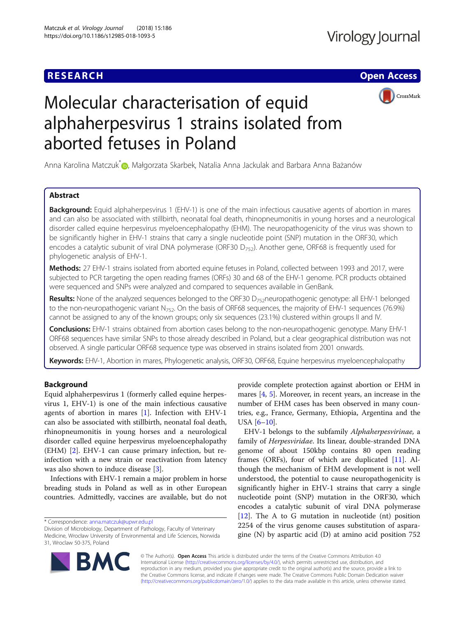## **RESEARCH CHE Open Access**



# Molecular characterisation of equid alphaherpesvirus 1 strains isolated from aborted fetuses in Poland

Anna Karolina Matczuk[\\*](http://orcid.org/0000-0002-7282-6560) , Małgorzata Skarbek, Natalia Anna Jackulak and Barbara Anna Bażanów

## Abstract

**Background:** Equid alphaherpesvirus 1 (EHV-1) is one of the main infectious causative agents of abortion in mares and can also be associated with stillbirth, neonatal foal death, rhinopneumonitis in young horses and a neurological disorder called equine herpesvirus myeloencephalopathy (EHM). The neuropathogenicity of the virus was shown to be significantly higher in EHV-1 strains that carry a single nucleotide point (SNP) mutation in the ORF30, which encodes a catalytic subunit of viral DNA polymerase (ORF30  $D_{752}$ ). Another gene, ORF68 is frequently used for phylogenetic analysis of EHV-1.

Methods: 27 EHV-1 strains isolated from aborted equine fetuses in Poland, collected between 1993 and 2017, were subjected to PCR targeting the open reading frames (ORFs) 30 and 68 of the EHV-1 genome. PCR products obtained were sequenced and SNPs were analyzed and compared to sequences available in GenBank.

Results: None of the analyzed sequences belonged to the ORF30 D<sub>752</sub>neuropathogenic genotype: all EHV-1 belonged to the non-neuropathogenic variant  $N_{752}$ . On the basis of ORF68 sequences, the majority of EHV-1 sequences (76.9%) cannot be assigned to any of the known groups; only six sequences (23.1%) clustered within groups II and IV.

Conclusions: EHV-1 strains obtained from abortion cases belong to the non-neuropathogenic genotype. Many EHV-1 ORF68 sequences have similar SNPs to those already described in Poland, but a clear geographical distribution was not observed. A single particular ORF68 sequence type was observed in strains isolated from 2001 onwards.

Keywords: EHV-1, Abortion in mares, Phylogenetic analysis, ORF30, ORF68, Equine herpesvirus myeloencephalopathy

## Background

Equid alphaherpesvirus 1 (formerly called equine herpesvirus 1, EHV-1) is one of the main infectious causative agents of abortion in mares  $[1]$  $[1]$ . Infection with EHV-1 can also be associated with stillbirth, neonatal foal death, rhinopneumonitis in young horses and a neurological disorder called equine herpesvirus myeloencephalopathy (EHM) [\[2](#page-5-0)]. EHV-1 can cause primary infection, but reinfection with a new strain or reactivation from latency was also shown to induce disease [\[3](#page-5-0)].

Infections with EHV-1 remain a major problem in horse breading studs in Poland as well as in other European countries. Admittedly, vaccines are available, but do not

\* Correspondence: [anna.matczuk@upwr.edu.pl](mailto:anna.matczuk@upwr.edu.pl)

provide complete protection against abortion or EHM in mares [\[4,](#page-5-0) [5\]](#page-5-0). Moreover, in recent years, an increase in the number of EHM cases has been observed in many countries, e.g., France, Germany, Ethiopia, Argentina and the USA [\[6](#page-5-0)–[10\]](#page-6-0).

EHV-1 belongs to the subfamily Alphaherpesvirinae, a family of Herpesviridae. Its linear, double-stranded DNA genome of about 150kbp contains 80 open reading frames (ORFs), four of which are duplicated [\[11](#page-6-0)]. Although the mechanism of EHM development is not well understood, the potential to cause neuropathogenicity is significantly higher in EHV-1 strains that carry a single nucleotide point (SNP) mutation in the ORF30, which encodes a catalytic subunit of viral DNA polymerase [[12\]](#page-6-0). The A to G mutation in nucleotide (nt) position 2254 of the virus genome causes substitution of asparagine (N) by aspartic acid (D) at amino acid position 752



© The Author(s). Open Access This article is distributed under the terms of the Creative Commons Attribution 4.0 International License [\(http://creativecommons.org/licenses/by/4.0/](http://creativecommons.org/licenses/by/4.0/)), which permits unrestricted use, distribution, and reproduction in any medium, provided you give appropriate credit to the original author(s) and the source, provide a link to the Creative Commons license, and indicate if changes were made. The Creative Commons Public Domain Dedication waiver [\(http://creativecommons.org/publicdomain/zero/1.0/](http://creativecommons.org/publicdomain/zero/1.0/)) applies to the data made available in this article, unless otherwise stated.

Division of Microbiology, Department of Pathology, Faculty of Veterinary Medicine, Wrocław University of Environmental and Life Sciences, Norwida 31, Wroclaw 50-375, Poland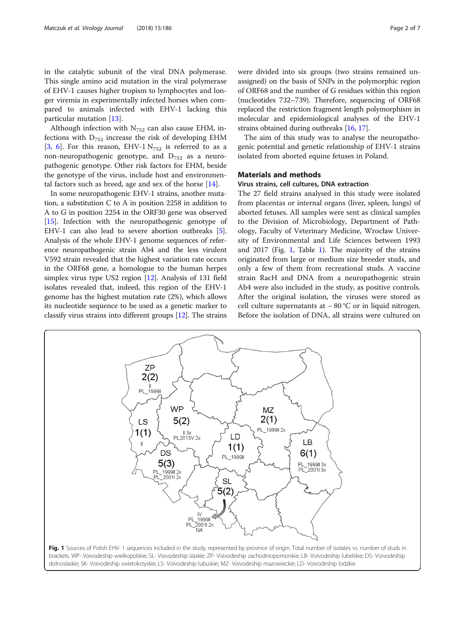<span id="page-1-0"></span>in the catalytic subunit of the viral DNA polymerase. This single amino acid mutation in the viral polymerase of EHV-1 causes higher tropism to lymphocytes and longer viremia in experimentally infected horses when compared to animals infected with EHV-1 lacking this particular mutation [\[13](#page-6-0)].

Although infection with  $N_{752}$  can also cause EHM, infections with  $D_{752}$  increase the risk of developing EHM [[3,](#page-5-0) [6\]](#page-5-0). For this reason, EHV-1  $N_{752}$  is referred to as a non-neuropathogenic genotype, and  $D_{752}$  as a neuropathogenic genotype. Other risk factors for EHM, beside the genotype of the virus, include host and environmental factors such as breed, age and sex of the horse [\[14](#page-6-0)].

In some neuropathogenic EHV-1 strains, another mutation, a substitution C to A in position 2258 in addition to A to G in position 2254 in the ORF30 gene was observed [[15](#page-6-0)]. Infection with the neuropathogenic genotype of EHV-1 can also lead to severe abortion outbreaks [[5](#page-5-0)]. Analysis of the whole EHV-1 genome sequences of reference neuropathogenic strain Ab4 and the less virulent V592 strain revealed that the highest variation rate occurs in the ORF68 gene, a homologue to the human herpes simplex virus type US2 region [\[12\]](#page-6-0). Analysis of 131 field isolates revealed that, indeed, this region of the EHV-1 genome has the highest mutation rate (2%), which allows its nucleotide sequence to be used as a genetic marker to classify virus strains into different groups [[12](#page-6-0)]. The strains were divided into six groups (two strains remained unassigned) on the basis of SNPs in the polymorphic region of ORF68 and the number of G residues within this region (nucleotides 732–739). Therefore, sequencing of ORF68 replaced the restriction fragment length polymorphism in molecular and epidemiological analyses of the EHV-1 strains obtained during outbreaks [[16](#page-6-0), [17\]](#page-6-0).

The aim of this study was to analyse the neuropathogenic potential and genetic relationship of EHV-1 strains isolated from aborted equine fetuses in Poland.

## Materials and methods

## Virus strains, cell cultures, DNA extraction

The 27 field strains analysed in this study were isolated from placentas or internal organs (liver, spleen, lungs) of aborted fetuses. All samples were sent as clinical samples to the Division of Microbiology, Department of Pathology, Faculty of Veterinary Medicine, Wrocław University of Environmental and Life Sciences between 1993 and 2017 (Fig. 1, Table [1](#page-2-0)). The majority of the strains originated from large or medium size breeder studs, and only a few of them from recreational studs. A vaccine strain RacH and DNA from a neuropathogenic strain Ab4 were also included in the study, as positive controls. After the original isolation, the viruses were stored as cell culture supernatants at − 80 °C or in liquid nitrogen. Before the isolation of DNA, all strains were cultured on

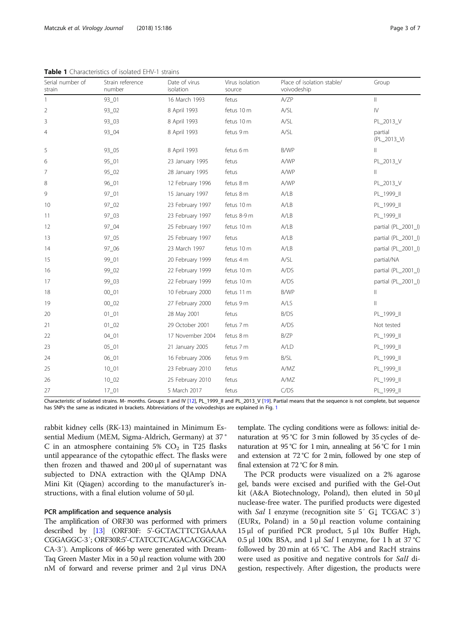| Serial number of<br>strain | Strain reference<br>number | Date of virus<br>isolation | Virus isolation<br>source | Place of isolation stable/<br>voivodeship | Group                  |  |
|----------------------------|----------------------------|----------------------------|---------------------------|-------------------------------------------|------------------------|--|
| 1                          | $93_01$                    | 16 March 1993              | fetus                     | A/ZP                                      | $\parallel$            |  |
| $\overline{2}$             | 93_02                      | 8 April 1993               | fetus 10 m                | A/SL                                      | $\dot{\mathbb{N}}$     |  |
| 3                          | 93_03                      | 8 April 1993               | fetus 10 m                | A/SL                                      | PL_2013_V              |  |
| 4                          | 93_04                      | 8 April 1993               | fetus 9 m                 | A/SL                                      | partial<br>(PL_2013_V) |  |
| 5                          | 93_05                      | 8 April 1993               | fetus 6 m                 | B/WP                                      | $\mathbb{I}$           |  |
| 6                          | $95_01$                    | 23 January 1995            | fetus                     | A/WP                                      | PL_2013_V              |  |
| 7                          | $95 - 02$                  | 28 January 1995            | fetus                     | A/WP                                      | $\mathbb{I}$           |  |
| 8                          | 96_01                      | 12 February 1996           | fetus 8 m                 | A/WP                                      | PL_2013_V              |  |
| 9                          | 97_01                      | 15 January 1997            | fetus 8 m                 | A/LB                                      | PL_1999_II             |  |
| 10                         | $97_02$                    | 23 February 1997           | fetus 10 m                | A/LB                                      | PL_1999_II             |  |
| 11                         | 97_03                      | 23 February 1997           | fetus 8-9 m               | A/LB                                      | PL_1999_II             |  |
| 12                         | 97_04                      | 25 February 1997           | fetus 10 m                | A/LB                                      | partial (PL_2001_l)    |  |
| 13                         | $97 - 05$                  | 25 February 1997           | fetus                     | A/LB                                      | partial (PL_2001_I)    |  |
| 14                         | 97_06                      | 23 March 1997              | fetus 10 m                | A/LB                                      | partial (PL_2001_I)    |  |
| 15                         | 99_01                      | 20 February 1999           | fetus 4 m                 | A/SL                                      | partial/NA             |  |
| 16                         | 99_02                      | 22 February 1999           | fetus 10 m                | A/DS                                      | partial (PL_2001_l)    |  |
| 17                         | 99_03                      | 22 February 1999           | fetus 10 m                | A/DS                                      | partial (PL_2001_l)    |  |
| 18                         | $00 - 01$                  | 10 February 2000           | fetus 11 m                | B/WP                                      | $\lvert \rvert$        |  |
| 19                         | $00 - 02$                  | 27 February 2000           | fetus 9 m                 | A/LS                                      | $\parallel$            |  |
| 20                         | $01 - 01$                  | 28 May 2001                | fetus                     | B/DS                                      | PL_1999_II             |  |
| 21                         | $01_02$                    | 29 October 2001            | fetus 7 m                 | A/DS                                      | Not tested             |  |
| 22                         | $04 - 01$                  | 17 November 2004           | fetus 8 m                 | B/ZP                                      | PL_1999_II             |  |
| 23                         | $05 - 01$                  | 21 January 2005            | fetus 7 m                 | A/LD                                      | PL_1999_II             |  |
| 24                         | $06_01$                    | 16 February 2006           | fetus 9 m                 | B/SL                                      | PL_1999_II             |  |
| 25                         | $10 - 01$                  | 23 February 2010           | fetus                     | A/MZ                                      | PL_1999_II             |  |
| 26                         | $10 - 02$                  | 25 February 2010           | fetus                     | A/MZ                                      | PL_1999_II             |  |
| 27                         | $17\_01$                   | 5 March 2017               | fetus                     | C/DS                                      | PL_1999_II             |  |

<span id="page-2-0"></span>Table 1 Characteristics of isolated EHV-1 strains

Characteristic of isolated strains. M- months. Groups: II and IV [\[12](#page-6-0)], PL\_1999\_II and PL\_2013\_V [[19](#page-6-0)]. Partial means that the sequence is not complete, but sequence has SNPs the same as indicated in brackets. Abbreviations of the voivodeships are explained in Fig. [1](#page-1-0)

rabbit kidney cells (RK-13) maintained in Minimum Essential Medium (MEM, Sigma-Aldrich, Germany) at 37 ° C in an atmosphere containing 5%  $CO<sub>2</sub>$  in T25 flasks until appearance of the cytopathic effect. The flasks were then frozen and thawed and 200 μl of supernatant was subjected to DNA extraction with the QIAmp DNA Mini Kit (Qiagen) according to the manufacturer's instructions, with a final elution volume of 50 μl.

### PCR amplification and sequence analysis

The amplification of ORF30 was performed with primers described by [\[13\]](#page-6-0) (ORF30F: 5'-GCTACTTCTGAAAA CGGAGGC-3′; ORF30R:5'-CTATCCTCAGACACGGCAA CA-3′). Amplicons of 466 bp were generated with Dream-Taq Green Master Mix in a 50 μl reaction volume with 200 nM of forward and reverse primer and 2 μl virus DNA template. The cycling conditions were as follows: initial denaturation at 95 °C for 3 min followed by 35 cycles of denaturation at 95 °C for 1 min, annealing at 56 °C for 1 min and extension at 72 °C for 2 min, followed by one step of final extension at 72 °C for 8 min.

The PCR products were visualized on a 2% agarose gel, bands were excised and purified with the Gel-Out kit (A&A Biotechnology, Poland), then eluted in 50 μl nuclease-free water. The purified products were digested with *Sal* I enzyme (recognition site 5' G↓ TCGAC 3') (EURx, Poland) in a 50 μl reaction volume containing 15 μl of purified PCR product, 5 μl 10x Buffer High, 0.5 μl 100x BSA, and 1 μl *Sal* I enzyme, for 1 h at 37 °C followed by 20 min at 65 °C. The Ab4 and RacH strains were used as positive and negative controls for SalI digestion, respectively. After digestion, the products were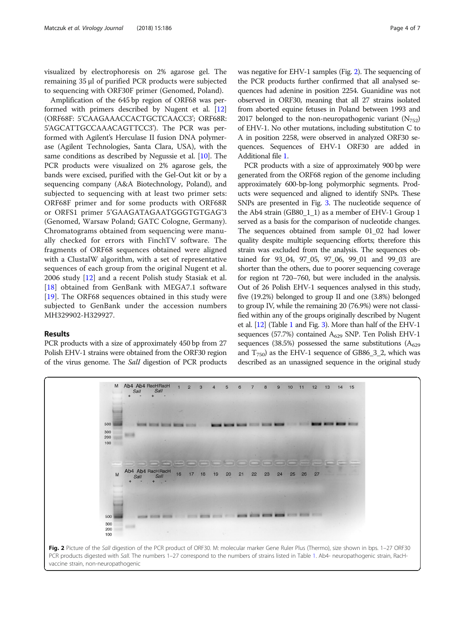<span id="page-3-0"></span>visualized by electrophoresis on 2% agarose gel. The remaining 35 μl of purified PCR products were subjected to sequencing with ORF30F primer (Genomed, Poland).

Amplification of the 645 bp region of ORF68 was performed with primers described by Nugent et al. [[12](#page-6-0)] (ORF68F: 5'CAAGAAACCACTGCTCAACC3'; ORF68R: 5'AGCATTGCCAAACAGTTCC3'). The PCR was performed with Agilent's Herculase II fusion DNA polymerase (Agilent Technologies, Santa Clara, USA), with the same conditions as described by Negussie et al. [\[10](#page-6-0)]. The PCR products were visualized on 2% agarose gels, the bands were excised, purified with the Gel-Out kit or by a sequencing company (A&A Biotechnology, Poland), and subjected to sequencing with at least two primer sets: ORF68F primer and for some products with ORF68R or ORFS1 primer 5'GAAGATAGAATGGGTGTGAG'3 (Genomed, Warsaw Poland; GATC Cologne, Germany). Chromatograms obtained from sequencing were manually checked for errors with FinchTV software. The fragments of ORF68 sequences obtained were aligned with a ClustalW algorithm, with a set of representative sequences of each group from the original Nugent et al. 2006 study [\[12](#page-6-0)] and a recent Polish study Stasiak et al. [[18\]](#page-6-0) obtained from GenBank with MEGA7.1 software [[19\]](#page-6-0). The ORF68 sequences obtained in this study were subjected to GenBank under the accession numbers MH329902-H329927.

## Results

PCR products with a size of approximately 450 bp from 27 Polish EHV-1 strains were obtained from the ORF30 region of the virus genome. The SalI digestion of PCR products was negative for EHV-1 samples (Fig. 2). The sequencing of the PCR products further confirmed that all analysed sequences had adenine in position 2254. Guanidine was not observed in ORF30, meaning that all 27 strains isolated from aborted equine fetuses in Poland between 1993 and 2017 belonged to the non-neuropathogenic variant  $(N_{752})$ of EHV-1. No other mutations, including substitution C to A in position 2258, were observed in analyzed ORF30 sequences. Sequences of EHV-1 ORF30 are added in Additional file [1.](#page-5-0)

PCR products with a size of approximately 900 bp were generated from the ORF68 region of the genome including approximately 600-bp-long polymorphic segments. Products were sequenced and aligned to identify SNPs. These SNPs are presented in Fig. [3](#page-4-0). The nucleotide sequence of the Ab4 strain (GB80\_1\_1) as a member of EHV-1 Group 1 served as a basis for the comparison of nucleotide changes. The sequences obtained from sample 01\_02 had lower quality despite multiple sequencing efforts; therefore this strain was excluded from the analysis. The sequences obtained for 93\_04, 97\_05, 97\_06, 99\_01 and 99\_03 are shorter than the others, due to poorer sequencing coverage for region nt 720–760, but were included in the analysis. Out of 26 Polish EHV-1 sequences analysed in this study, five (19.2%) belonged to group II and one (3.8%) belonged to group IV, while the remaining 20 (76.9%) were not classified within any of the groups originally described by Nugent et al. [\[12](#page-6-0)] (Table [1](#page-2-0) and Fig. [3\)](#page-4-0). More than half of the EHV-1 sequences (57.7%) contained  $A_{629}$  SNP. Ten Polish EHV-1 sequences (38.5%) possessed the same substitutions ( $A_{629}$ and  $T_{750}$ ) as the EHV-1 sequence of GB86\_3\_2, which was described as an unassigned sequence in the original study

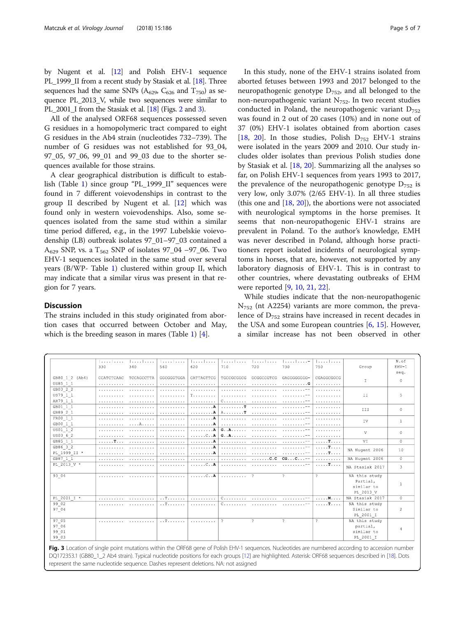<span id="page-4-0"></span>by Nugent et al. [\[12\]](#page-6-0) and Polish EHV-1 sequence PL\_1999\_II from a recent study by Stasiak et al. [\[18](#page-6-0)]. Three sequences had the same SNPs ( $A_{629}$ ,  $C_{626}$  and  $T_{750}$ ) as sequence PL\_2013\_V, while two sequences were similar to PL\_2001\_I from the Stasiak et al. [\[18\]](#page-6-0) (Figs. [2](#page-3-0) and 3).

All of the analysed ORF68 sequences possessed seven G residues in a homopolymeric tract compared to eight G residues in the Ab4 strain (nucleotides 732–739). The number of G residues was not established for 93\_04, 97\_05, 97\_06, 99\_01 and 99\_03 due to the shorter sequences available for those strains.

A clear geographical distribution is difficult to establish (Table [1](#page-2-0)) since group "PL\_1999\_II" sequences were found in 7 different voievodenships in contrast to the group II described by Nugent et al. [\[12](#page-6-0)] which was found only in western voievodenships. Also, some sequences isolated from the same stud within a similar time period differed, e.g., in the 1997 Lubelskie voievodenship (LB) outbreak isolates 97\_01–97\_03 contained a A<sub>629</sub> SNP, vs. a T<sub>562</sub> SNP of isolates 97\_04 –97\_06. Two EHV-1 sequences isolated in the same stud over several years (B/WP- Table [1](#page-2-0)) clustered within group II, which may indicate that a similar virus was present in that region for 7 years.

## **Discussion**

The strains included in this study originated from abortion cases that occurred between October and May, which is the breeding season in mares (Table [1](#page-2-0))  $[4]$  $[4]$ .

In this study, none of the EHV-1 strains isolated from aborted fetuses between 1993 and 2017 belonged to the neuropathogenic genotype  $D_{752}$ , and all belonged to the non-neuropathogenic variant  $N_{752}$ . In two recent studies conducted in Poland, the neuropathogenic variant  $D_{752}$ was found in 2 out of 20 cases (10%) and in none out of 37 (0%) EHV-1 isolates obtained from abortion cases [[18,](#page-6-0) [20](#page-6-0)]. In those studies, Polish  $D_{752}$  EHV-1 strains were isolated in the years 2009 and 2010. Our study includes older isolates than previous Polish studies done by Stasiak et al. [[18](#page-6-0), [20](#page-6-0)]. Summarizing all the analyses so far, on Polish EHV-1 sequences from years 1993 to 2017, the prevalence of the neuropathogenic genotype  $D_{752}$  is very low, only 3.07% (2/65 EHV-1). In all three studies (this one and [[18,](#page-6-0) [20\]](#page-6-0)), the abortions were not associated with neurological symptoms in the horse premises. It seems that non-neuropathogenic EHV-1 strains are prevalent in Poland. To the author's knowledge, EMH was never described in Poland, although horse practitioners report isolated incidents of neurological symptoms in horses, that are, however, not supported by any laboratory diagnosis of EHV-1. This is in contrast to other countries, where devastating outbreaks of EHM were reported [[9,](#page-6-0) [10,](#page-6-0) [21,](#page-6-0) [22\]](#page-6-0).

While studies indicate that the non-neuropathogenic  $N<sub>752</sub>$  (nt A2254) variants are more common, the prevalence of  $D_{752}$  strains have increased in recent decades in the USA and some European countries [\[6](#page-5-0), [15](#page-6-0)]. However, a similar increase has not been observed in other

|                | .                |            |            | 1. 1.                      | 1. 1                       | 1.                   | 1.               | 1. 1.                     |                 | N.of           |
|----------------|------------------|------------|------------|----------------------------|----------------------------|----------------------|------------------|---------------------------|-----------------|----------------|
|                | 330              | 340        | 560        | 620                        | 710                        | 720                  | 730              | 750                       | Group           | $EHV-1$        |
| GB80 1 2 (Ab4) | CCATCTCAAC       | TCCAGCCTTA | GGCGGGTGGA | CATTAGTTCG                 | TGCCGCGGCG                 | GCGGCCGTCG           | GAGGGGGGGG-      | CGAGGCGGCG                |                 | seq.           |
| US85 1 1       | .                | .          | .          | .                          | .                          |                      | . G              | .                         | I               | $\circ$        |
| GB03 2 2       | .                |            | .          | .                          |                            |                      |                  | .                         |                 |                |
| US79 1 1       | .                |            | .          | <b>T.</b>                  | .                          |                      |                  | .                         | II              | 5              |
| AR79 1 1       | .                |            | .          | .                          | C.                         |                      |                  | .                         |                 |                |
| GB01 1 1       | .                | .          | .          | . <b>A</b>                 | . T                        |                      |                  | .                         |                 |                |
| GB89 2 1       | .                | .          | .          | . <b>A</b>                 | A. T                       | .                    |                  | .                         | III             | 0              |
| FR00 1 1       | .                | .          | .          | . A                        | .                          |                      |                  | .                         | IV              |                |
| GB00 1 1       | .                | . A        | .          | . <b>A</b>                 | .                          |                      |                  | .                         |                 | $\mathbf{1}$   |
| US01 1 2       | .                | .          | .          | . <b>A</b>                 | $G \ldots A \ldots \ldots$ | .                    |                  | .                         | V               | 0              |
| US03 6 2       | .                | .          | .          | $\ldots \ldots C \ldots A$ | $G \ldots A \ldots \ldots$ |                      |                  | .                         |                 |                |
| GB85 1 1       | $\ldots$ . $T$ . | .          | .          | . A                        | .                          |                      |                  | $1.1.1.1$ T. $1.1.1$      | VI              | $\Omega$       |
| GB86 3 2       | .                |            |            | . <b>A</b>                 | .                          |                      |                  | $1.1.1.1$ T.              | NA Nugent 2006  | 10             |
| PL 1999 II *   | .                |            |            | . <b>A</b>                 |                            |                      |                  | $\ldots$ . $\mathbf{T}$ . |                 |                |
| GB87 1 1       | .                | .          | .          | .                          | .                          | $\ldots \ldots$ .c.c | $CG. C. -$       | .                         | NA Nugent 2006  | $\Omega$       |
| PL 2013 V *    | .                |            | .          | $\ldots \ldots C \ldots A$ | .                          | .                    | 1.1.1.1.1.1.1.04 | $$ <b>T</b> .             | NA Stasiak 2017 | 3              |
| 93 04          | .                | .          | .          | $\ldots \ldots \ldots$ $A$ | .                          | 2                    | 2                | $\overline{ }$            | NA this study   |                |
|                |                  |            |            |                            |                            |                      |                  |                           | Partial,        |                |
|                |                  |            |            |                            |                            |                      |                  |                           | similar to      | -1             |
|                |                  |            |            |                            |                            |                      |                  |                           | PL 2013 V       |                |
| PL 2001 I *    | .                |            | .          | .                          | $C.$                       | .                    |                  | . M.                      | NA Stasiak 2017 | $\Omega$       |
| 99 02          |                  |            | . . T.     | .                          | C.                         |                      |                  | . T                       | NA this study   |                |
| 97 04          |                  |            |            |                            |                            |                      |                  |                           | Similar to      | $\overline{2}$ |
|                |                  |            |            |                            |                            |                      |                  |                           | PL 2001 I       |                |
| 97 05          | .                | .          | . . T      | .                          | -2                         | $\hat{ }$            | 2                | $\hat{ }$                 | NA this study   |                |
| 97 06          |                  |            |            |                            |                            |                      |                  |                           | partial,        | 4              |
| 99 01          |                  |            |            |                            |                            |                      |                  |                           | similar to      |                |
| 99 03          |                  |            |            |                            |                            |                      |                  |                           | PL 2001 I       |                |

DQ172353.1 (GB80\_1\_2 Ab4 strain). Typical nucleotide positions for each groups [\[12\]](#page-6-0) are highlighted. Asterisk: ORF68 sequences described in [[18\]](#page-6-0). Dots represent the same nucleotide sequence. Dashes represent deletions. NA: not assigned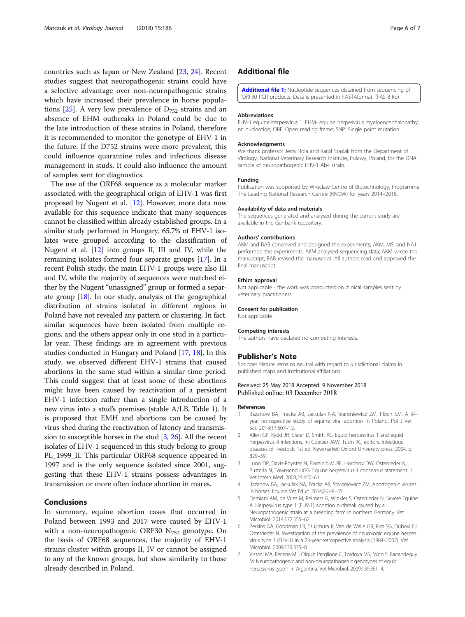<span id="page-5-0"></span>countries such as Japan or New Zealand [\[23](#page-6-0), [24](#page-6-0)]. Recent studies suggest that neuropathogenic strains could have a selective advantage over non-neuropathogenic strains which have increased their prevalence in horse popula-tions [[25](#page-6-0)]. A very low prevalence of  $D_{752}$  strains and an absence of EHM outbreaks in Poland could be due to the late introduction of these strains in Poland, therefore it is recommended to monitor the genotype of EHV-1 in the future. If the D752 strains were more prevalent, this could influence quarantine rules and infectious disease management in studs. It could also influence the amount of samples sent for diagnostics.

The use of the ORF68 sequence as a molecular marker associated with the geographical origin of EHV-1 was first proposed by Nugent et al. [[12](#page-6-0)]. However, more data now available for this sequence indicate that many sequences cannot be classified within already established groups. In a similar study performed in Hungary, 65.7% of EHV-1 isolates were grouped according to the classification of Nugent et al. [[12](#page-6-0)] into groups II, III and IV, while the remaining isolates formed four separate groups [[17](#page-6-0)]. In a recent Polish study, the main EHV-1 groups were also III and IV, while the majority of sequences were matched either by the Nugent "unassigned" group or formed a separate group [[18](#page-6-0)]. In our study, analysis of the geographical distribution of strains isolated in different regions in Poland have not revealed any pattern or clustering. In fact, similar sequences have been isolated from multiple regions, and the others appear only in one stud in a particular year. These findings are in agreement with previous studies conducted in Hungary and Poland [\[17,](#page-6-0) [18](#page-6-0)]. In this study, we observed different EHV-1 strains that caused abortions in the same stud within a similar time period. This could suggest that at least some of these abortions might have been caused by reactivation of a persistent EHV-1 infection rather than a single introduction of a new virus into a stud's premises (stable A/LB, Table [1\)](#page-2-0). It is proposed that EMH and abortions can be caused by virus shed during the reactivation of latency and transmission to susceptible horses in the stud [3, [26](#page-6-0)]. All the recent isolates of EHV-1 sequenced in this study belong to group PL\_1999\_II. This particular ORF68 sequence appeared in 1997 and is the only sequence isolated since 2001, suggesting that these EHV-1 strains possess advantages in transmission or more often induce abortion in mares.

## Conclusions

In summary, equine abortion cases that occurred in Poland between 1993 and 2017 were caused by EHV-1 with a non-neuropathogenic ORF30  $N_{752}$  genotype. On the basis of ORF68 sequences, the majority of EHV-1 strains cluster within groups II, IV or cannot be assigned to any of the known groups, but show similarity to those already described in Poland.

## Additional file

[Additional file 1:](https://doi.org/10.1186/s12985-018-1093-5) Nucleotide sequences obtained from sequencing of ORF30 PCR products. Data is presented in FASTAformat. (FAS 8 kb)

#### Abbreviations

EHV-1 equine herpesvirus 1: EHM- equine herpesvirus myeloencephalopathy; nt: nucleotide; ORF: Open reading frame; SNP: Single point mutation

#### Acknowledgments

We thank professor Jerzy Rola and Karol Stasiak from the Department of Virology, National Veterinary Research Institute, Pulawy, Poland, for the DNA sample of neuropathogenic EHV-1 Ab4 strain.

#### Funding

Publication was supported by Wroclaw Centre of Biotechnology, Programme The Leading National Research Centre (KNOW) for years 2014–2018.

#### Availability of data and materials

The sequences generated and analysed during the current study are available in the Genbank repository.

#### Authors' contributions

AKM and BAB conceived and designed the experiments; AKM, MS, and NAJ performed the experiments; AKM analysed sequencing data; AKM wrote the manuscript; BAB revised the manuscript. All authors read and approved the final manuscript.

#### Ethics approval

Not applicable - the work was conducted on clinical samples sent by veterinary practitioners.

## Consent for publication

Not applicable

## Competing interests

The authors have declared no competing interests.

#### Publisher's Note

Springer Nature remains neutral with regard to jurisdictional claims in published maps and institutional affiliations.

## Received: 25 May 2018 Accepted: 9 November 2018 Published online: 03 December 2018

#### References

- 1. Bazanow BA, Fracka AB, Jackulak NA, Staroniewicz ZM, Ploch SM. A 34 year retrospective study of equine viral abortion in Poland. Pol J Vet Sci. 2014;17:607–12.
- 2. Allen GP, Kydd JH, Slater D, Smith KC. Equid herpesvirus 1 and equid herpesvirus 4 infections. In: Coetzer JAW, Tusin RC, editors. Infectious diseases of livestock. 1st ed. Newmarket: Oxford University press; 2004. p. 829–59.
- 3. Lunn DP, Davis-Poynter N, Flaminio MJBF, Horohov DW, Osterrieder K, Pusterla N, Townsend HGG. Equine herpesvirus-1 consensus statement. J Vet Intern Med. 2009;23:450–61.
- 4. Bazanow BA, Jackulak NA, Fracka AB, Staroniewicz ZM. Abortogenic viruses in horses. Equine Vet Educ. 2014;26:48–55.
- 5. Damiani AM, de Vries M, Reimers G, Winkler S, Osterrieder N, Severe Equine A. Herpesvirus type 1 (EHV-1) abortion outbreak caused by a Neuropathogenic strain at a breeding farm in northern Germany. Vet Microbiol. 2014;172:555–62.
- 6. Perkins GA, Goodman LB, Tsujimura K, Van de Walle GR, Kim SG, Dubovi EJ, Osterrieder N. Investigation of the prevalence of neurologic equine herpes virus type 1 (EHV-1) in a 23-year retrospective analysis (1984–2007). Vet Microbiol. 2009;139:375–8.
- 7. Vissani MA, Becerra ML, Olguin Perglione C, Tordoya MS, Mino S, Barrandeguy M. Neuropathogenic and non-neuropathogenic genotypes of equid herpesvirus type-1 in Argentina. Vet Microbiol. 2009;139:361–4.